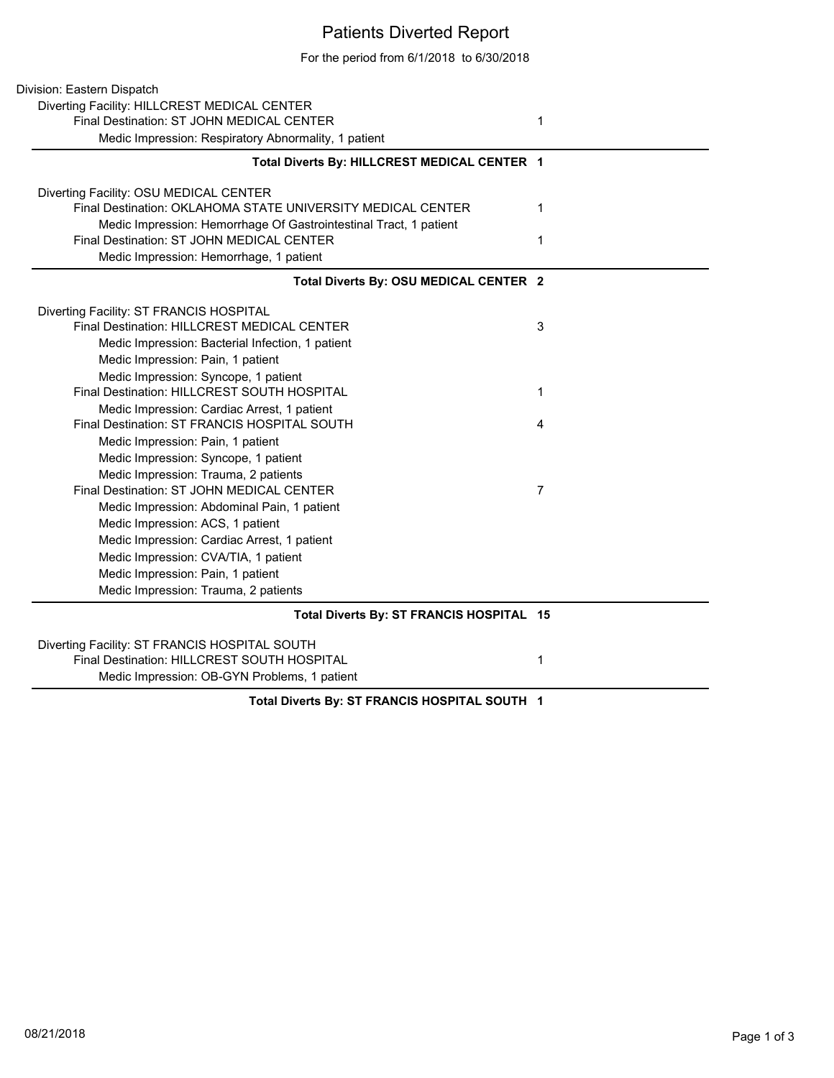## Patients Diverted Report

For the period from 6/1/2018 to 6/30/2018

| Division: Eastern Dispatch                                        |                |  |
|-------------------------------------------------------------------|----------------|--|
| Diverting Facility: HILLCREST MEDICAL CENTER                      |                |  |
| Final Destination: ST JOHN MEDICAL CENTER                         | 1              |  |
| Medic Impression: Respiratory Abnormality, 1 patient              |                |  |
| Total Diverts By: HILLCREST MEDICAL CENTER 1                      |                |  |
| Diverting Facility: OSU MEDICAL CENTER                            |                |  |
| Final Destination: OKLAHOMA STATE UNIVERSITY MEDICAL CENTER       | 1              |  |
| Medic Impression: Hemorrhage Of Gastrointestinal Tract, 1 patient |                |  |
| Final Destination: ST JOHN MEDICAL CENTER                         | 1              |  |
| Medic Impression: Hemorrhage, 1 patient                           |                |  |
| Total Diverts By: OSU MEDICAL CENTER 2                            |                |  |
| Diverting Facility: ST FRANCIS HOSPITAL                           |                |  |
| Final Destination: HILLCREST MEDICAL CENTER                       | 3              |  |
| Medic Impression: Bacterial Infection, 1 patient                  |                |  |
| Medic Impression: Pain, 1 patient                                 |                |  |
| Medic Impression: Syncope, 1 patient                              |                |  |
| Final Destination: HILLCREST SOUTH HOSPITAL                       | 1              |  |
| Medic Impression: Cardiac Arrest, 1 patient                       |                |  |
| Final Destination: ST FRANCIS HOSPITAL SOUTH                      | 4              |  |
| Medic Impression: Pain, 1 patient                                 |                |  |
| Medic Impression: Syncope, 1 patient                              |                |  |
| Medic Impression: Trauma, 2 patients                              |                |  |
| Final Destination: ST JOHN MEDICAL CENTER                         | $\overline{7}$ |  |
| Medic Impression: Abdominal Pain, 1 patient                       |                |  |
| Medic Impression: ACS, 1 patient                                  |                |  |
| Medic Impression: Cardiac Arrest, 1 patient                       |                |  |
| Medic Impression: CVA/TIA, 1 patient                              |                |  |
| Medic Impression: Pain, 1 patient                                 |                |  |
| Medic Impression: Trauma, 2 patients                              |                |  |
| Total Diverts By: ST FRANCIS HOSPITAL 15                          |                |  |
| Diverting Facility: ST FRANCIS HOSPITAL SOUTH                     |                |  |
| Final Destination: HILLCREST SOUTH HOSPITAL                       | 1              |  |
| Medic Impression: OB-GYN Problems, 1 patient                      |                |  |

## **Total Diverts By: ST FRANCIS HOSPITAL SOUTH 1**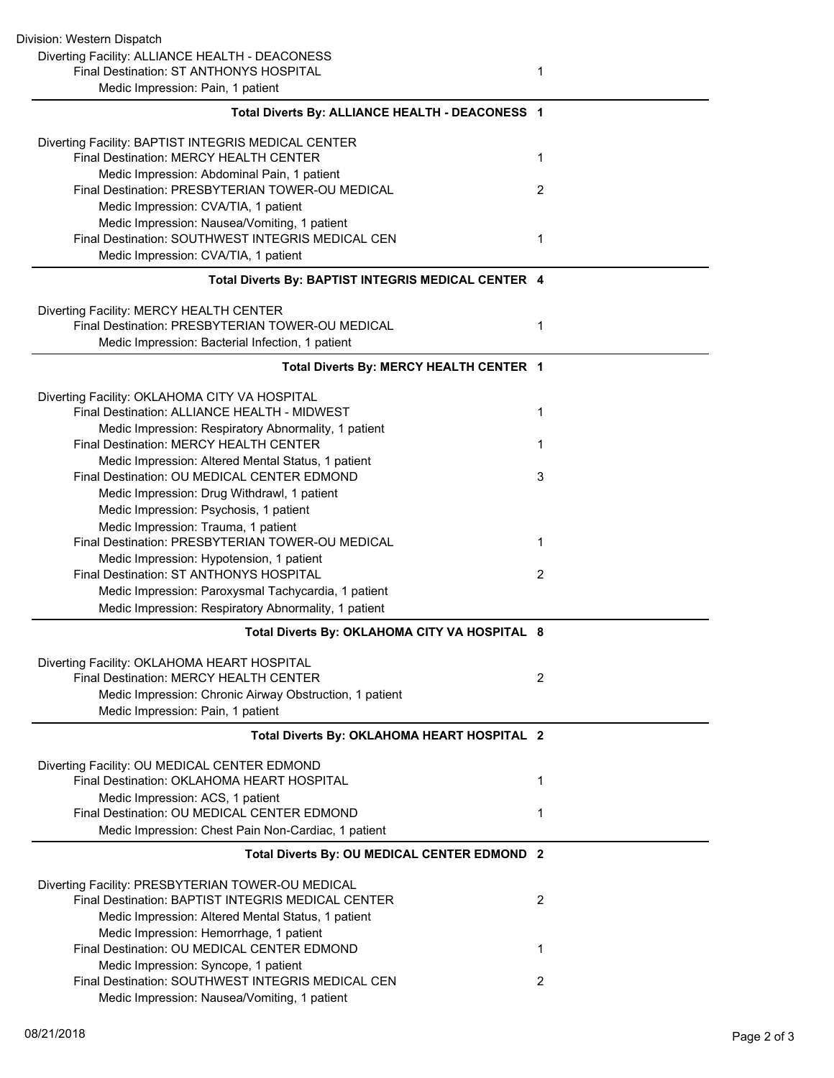| Division: Western Dispatch                                                                              |                |
|---------------------------------------------------------------------------------------------------------|----------------|
| Diverting Facility: ALLIANCE HEALTH - DEACONESS                                                         |                |
| Final Destination: ST ANTHONYS HOSPITAL                                                                 | 1              |
| Medic Impression: Pain, 1 patient                                                                       |                |
| Total Diverts By: ALLIANCE HEALTH - DEACONESS 1                                                         |                |
| Diverting Facility: BAPTIST INTEGRIS MEDICAL CENTER                                                     |                |
| Final Destination: MERCY HEALTH CENTER                                                                  | 1              |
| Medic Impression: Abdominal Pain, 1 patient                                                             |                |
| Final Destination: PRESBYTERIAN TOWER-OU MEDICAL                                                        | 2              |
| Medic Impression: CVA/TIA, 1 patient                                                                    |                |
| Medic Impression: Nausea/Vomiting, 1 patient                                                            |                |
| Final Destination: SOUTHWEST INTEGRIS MEDICAL CEN                                                       | 1              |
| Medic Impression: CVA/TIA, 1 patient                                                                    |                |
| Total Diverts By: BAPTIST INTEGRIS MEDICAL CENTER 4                                                     |                |
| Diverting Facility: MERCY HEALTH CENTER                                                                 |                |
| Final Destination: PRESBYTERIAN TOWER-OU MEDICAL                                                        | 1              |
| Medic Impression: Bacterial Infection, 1 patient                                                        |                |
| Total Diverts By: MERCY HEALTH CENTER 1                                                                 |                |
| Diverting Facility: OKLAHOMA CITY VA HOSPITAL                                                           |                |
| Final Destination: ALLIANCE HEALTH - MIDWEST                                                            | 1              |
| Medic Impression: Respiratory Abnormality, 1 patient                                                    |                |
| Final Destination: MERCY HEALTH CENTER                                                                  | 1              |
| Medic Impression: Altered Mental Status, 1 patient                                                      |                |
| Final Destination: OU MEDICAL CENTER EDMOND                                                             | 3              |
| Medic Impression: Drug Withdrawl, 1 patient                                                             |                |
| Medic Impression: Psychosis, 1 patient                                                                  |                |
| Medic Impression: Trauma, 1 patient                                                                     |                |
| Final Destination: PRESBYTERIAN TOWER-OU MEDICAL                                                        | 1              |
| Medic Impression: Hypotension, 1 patient                                                                |                |
| Final Destination: ST ANTHONYS HOSPITAL<br>Medic Impression: Paroxysmal Tachycardia, 1 patient          | $\overline{2}$ |
| Medic Impression: Respiratory Abnormality, 1 patient                                                    |                |
| Total Diverts By: OKLAHOMA CITY VA HOSPITAL 8                                                           |                |
|                                                                                                         |                |
| Diverting Facility: OKLAHOMA HEART HOSPITAL                                                             |                |
| <b>Final Destination: MERCY HEALTH CENTER</b>                                                           | 2              |
| Medic Impression: Chronic Airway Obstruction, 1 patient<br>Medic Impression: Pain, 1 patient            |                |
| Total Diverts By: OKLAHOMA HEART HOSPITAL 2                                                             |                |
|                                                                                                         |                |
| Diverting Facility: OU MEDICAL CENTER EDMOND<br>Final Destination: OKLAHOMA HEART HOSPITAL              | 1              |
| Medic Impression: ACS, 1 patient                                                                        |                |
| Final Destination: OU MEDICAL CENTER EDMOND                                                             | 1              |
| Medic Impression: Chest Pain Non-Cardiac, 1 patient                                                     |                |
| Total Diverts By: OU MEDICAL CENTER EDMOND 2                                                            |                |
|                                                                                                         |                |
| Diverting Facility: PRESBYTERIAN TOWER-OU MEDICAL<br>Final Destination: BAPTIST INTEGRIS MEDICAL CENTER | 2              |
| Medic Impression: Altered Mental Status, 1 patient                                                      |                |
| Medic Impression: Hemorrhage, 1 patient                                                                 |                |
| Final Destination: OU MEDICAL CENTER EDMOND                                                             | 1              |
| Medic Impression: Syncope, 1 patient                                                                    |                |
| Final Destination: SOUTHWEST INTEGRIS MEDICAL CEN                                                       | 2              |
| Medic Impression: Nausea/Vomiting, 1 patient                                                            |                |
|                                                                                                         |                |